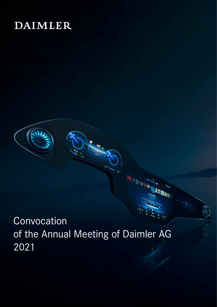# **DAIMLER**



**Q<sub>BL</sub>**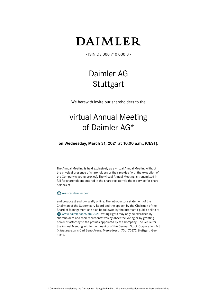# **DAIMLER**

- ISIN DE 000 710 000 0 -

# Daimler AG **Stuttgart**

We herewith invite our shareholders to the

# virtual Annual Meeting of Daimler AG\*

**on Wednesday, March 31, 2021 at 10:00 a.m., (CEST).**

The Annual Meeting is held exclusively as a virtual Annual Meeting without the physical presence of shareholders or their proxies (with the exception of the Company's voting proxies). The virtual Annual Meeting is transmitted in full for shareholders entered in the share register via the e-service for shareholders at

# **W** register.daimler.com

and broadcast audio-visually online. The introductory statement of the Chairman of the Supervisory Board and the speech by the Chairman of the Board of Management can also be followed by the interested public online at www.daimler.com/am-2021. Voting rights may only be exercised by shareholders and their representatives by absentee voting or by granting power of attorney to the proxies appointed by the Company. The venue for the Annual Meeting within the meaning of the German Stock Corporation Act (*Aktiengesetz*) is Carl Benz-Arena, Mercedesstr. 73d, 70372 Stuttgart, Germany.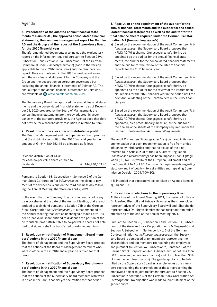# Agenda

# **1. Presentation of the adopted annual financial statements of Daimler AG, the approved consolidated financial statements, the combined management report for Daimler AG and the Group and the report of the Supervisory Board for the 2020financial year**

The aforementioned documents also include the explanatory report on the information required pursuant to Section 289a, Subsection 1 and Section 315a, Subsection 1 of the German Commercial Code (*Handelsgesetzbuch*) (each in the version applicable to the 2020financial year) and the remuneration report. They are contained in the 2020 annual report along with the non-financial statement for the Company and the Group and the declaration on corporate governance but excluding the annual financial statements of Daimler AG. The annual report and annual financial statements of Daimler AG are available at  $\bigoplus$  www.daimler.com/am-2021.

The Supervisory Board has approved the annual financial statements and the consolidated financial statements as of December 31, 2020 prepared by the Board of Management; the annual financial statements are thereby adopted. In accordance with the statutory provisions, the Agenda does therefore not provide for a shareholders' resolution in relation to Item1.

# **2. Resolution on the allocation of distributable profit**

The Board of Management and the Supervisory Board propose that the distributable profit of the 2020 financial year in the amount of €1,444,280,553.45 be allocated as follows:

| Dividend distribution of $\epsilon$ 1.35 |                   |
|------------------------------------------|-------------------|
| for each no-par value share entitled to  |                   |
| dividends                                | €1,444,280,553.45 |

Pursuant to Section 58, Subsection 4, Sentence 2 of the German Stock Corporation Act (*Aktiengesetz*), the claim to payment of the dividends is due on the third business day following the Annual Meeting, therefore on April 7, 2021.

In the event that the Company directly or indirectly holds any treasury shares at the date of the Annual Meeting, that are not entitled to a dividend pursuant to Section 71b of the German Stock Corporation Act (*Aktiengesetz*), it is recommended to the Annual Meeting that with an unchanged dividend of €1.35 per no-par value share entitled to dividends the portion of the distributable profit attributable to no-par value shares not entitled to dividends shall be transferred to retained earnings.

# **3. Resolution on ratification of Management Board members' actions in the 2020financial year**

The Board of Management and the Supervisory Board propose that the actions of the Board of Management members who were in office in the 2020financial year be ratified for that period.

#### **4. Resolution on ratification of Supervisory Board members' actions in the 2020financial year**

The Board of Management and the Supervisory Board propose that the actions of the Supervisory Board members who were in office in the 2020 financial year be ratified for that period.

**5. Resolution on the appointment of the auditor for the annual financial statements and the auditor for the consolidated financial statements as well as the auditor for the final balance sheets required under the German Transformation Act (***Umwandlungsgesetz***)**

- a) Based on the recommendation of the Audit Committee (*Prüfungsausschuss*), the Supervisory Board proposes that KPMG AG Wirtschaftsprüfungsgesellschaft, Berlin, be appointed as the auditor for the annual financial statements, the auditor for the consolidated financial statements and the auditor for the review of the interim financial reports for the 2021 financial year.
- b) Based on the recommendation of the Audit Committee (*Prüfungsausschuss*), the Supervisory Board proposes that KPMG AG Wirtschaftsprüfungsgesellschaft, Berlin, be appointed as the auditor for the review of the interim financial reports for the 2022financial year in the period until the next Annual Meeting of the Shareholders in the 2022 financial year.
- c) Based on the recommendation of the Audit Committee (*Prüfungsausschuss*), the Supervisory Board proposes that KPMG AG Wirtschaftsprüfungsgesellschaft, Berlin, be appointed, as a precautionary measure, as the auditor of the final balance sheets of the Company required under the German Transformation Act (*Umwandlungsgesetz*).

The Audit Committee (*Prüfungsausschuss*) declared in its recommendation that such recommendation is free from undue influence by third parties and that no clause of the kind referred to in Article 16(6) of the EU Auditors' Regulation (*Abschlussprüferverordnung*) has been imposed upon it (Regulation (EU) No. 537/2014 of the European Parliament and of the Council of 16 April 2014 on specific requirements regarding statutory audit of public-interest entities and repealing Commission Decision 2005/909/EC).

It is intended that separate votes be taken on Agenda Items 5 a), 5b) and 5 c).

#### **6. Resolution on elections to the Supervisory Board**

At the close of the Annual Meeting 2021, the period of office of Dr. Manfred Bischoff and Petraea Heynike as the shareholder representatives of the Supervisory Board will end. Shareholder representative Dr. Jürgen Hambrecht has resigned from office effective as of the end of the Annual Meeting 2021.

Pursuant to Section 96, Subsection 1 and Section 101, Subsection1 of the German Stock Corporation Act (*Aktiengesetz*) and Section 7, Subsection 1, Sentence 1, No. 3 of the German Co-determination Act (*Mitbestimmungsgesetz*), the Supervisory Board is composed of ten members representing the shareholders and ten members representing the employees, and pursuant to Section 96, Subsection 2, Sentence1 of the German Stock Corporation Act (*Aktiengesetz*), of not less than 30% of women (i.e., not less than six) and of not less than 30% of men (i.e., not less than six). The gender quota is to be fulfilled by the Supervisory Board as a whole, unless the members representing the shareholders or those representing the employees object to joint fulfillment pursuant to Section 96, Subsection 2 sentence 3 of the German Stock Corporation Act (*Aktiengesetz*). No objection was made to joint fulfilment of the gender quota.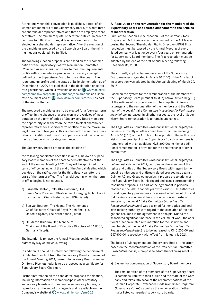At the time when this convocation is published, a total of six women are members of the Supervisory Board, of whom three are shareholder representatives and three are employee representatives. The minimum quota is therefore fulfilled. In order to continue to fulfill it in future, at least one woman is to be elected as a shareholder representative. After the election of the candidates proposed by the Supervisory Board, the minimum quota would still be fulfilled.

The following election proposals are based on the recommendation of the Supervisory Board's Nomination Committee (*Nominierungsausschuss*) and seek to meet the requirements profile with a competence profile and a diversity concept defined by the Supervisory Board for the entire board. The requirements profile and the status of its implementation as of December 31, 2020 are published in the declaration on corporate governance, which is available online at  $\bigoplus$  www.daimler. com/company/corporate-governance/declarations as a separate document and at  $\bigoplus$  www.daimler.com/am-2021 as part of the Annual Report.

The proposed candidates are to be elected for a four-year term of office. In the absence of a provision in the Articles of Incorporation on the term of office of Supervisory Board members, the opportunity shall therefore be taken to elect shareholder representatives for a shorter term of office than the maximum legal duration of five years. This is intended to meet the expectations of institutional investors in particular and the requirements of modern corporate governance.

The Supervisory Board proposes the election of

the following candidates specified in a) to c) below as Supervisory Board members of the shareholders effective as of the end of the Annual Meeting 2021. They will be appointed for a term of office lasting until the end of the Annual Meeting which decides on the ratification for the third fiscal year after the start of the term of office. The financial year in which the term of office begins is not counted.

- a) Elizabeth Centoni, Palo Alto, California, USA Senior Vice President, Strategy and Emerging Technology & Incubation of Cisco Systems, Inc., USA (listed)
- b) Ben van Beurden, The Hague, The Netherlands Chief Executive Officer of Royal Dutch Shell plc, United Kingdom, The Netherlands (listed)
- c) Dr. Martin Brudermüller, Mannheim Chairman of the Board of Executive Directors of BASF SE, Germany (listed).

The intention is to have the Annual Meeting decide on the candidates by way of individual voting.

In addition, it should be noted that following the departure of Dr. Manfred Bischoff from the Supervisory Board at the end of the Annual Meeting 2021, current Supervisory Board member Dr. Bernd Pischetsrieder is to be proposed as a candidate for Supervisory Board Chairman.

Further information on the candidates proposed for election, including information on memberships in other statutory supervisory boards and comparable supervisory bodies, is reproduced at the end of this agenda and is available on the Company's website at  $\bigoplus$  www.daimler.com/am-2021.

# **7. Resolution on the remuneration for the members of the Supervisory Board and related amendment to the Articles of Incorporation**

Pursuant to Section 113 Subsection 3 of the German Stock Corporation Act (*Aktiengesetz*) as amended by the Act Transposing the Second Shareholder Rights Directive (ARUG II), a resolution must be passed by the Annual Meeting of every listed company at least once every four years on remuneration for Supervisory Board members. The first resolution must be adopted by the end of the first Annual Meeting following December 31, 2020.

The currently applicable remuneration of the Supervisory Board members regulated in Article10 (§10) of the Articles of Incorporation was adopted by the Annual Meeting of March 29, 2017.

Based on the system for the remuneration of the members of the Supervisory Board pursuant to lit. a) below, Article 10 (§ 10) of the Articles of Incorporation is to be simplified in terms of language and the remuneration of the members and the Chairman of the Legal Affairs Committee (*Ausschuss für Rechtsangelegenheiten*) increased. In all other respects, the level of Supervisory Board remuneration is to remain unchanged.

The Legal Affairs Committee (*Ausschuss für Rechtsangelegenheiten*) is currently an other committee within the meaning of Article 10 (§ 10) of the Articles of Incorporation. Under this provision, membership of other Supervisory Board committees is remunerated with an additional €28,800.00; no higher additional remuneration is provided for the chairmanship of other committees.

The Legal Affairs Committee (*Ausschuss für Rechtsangelegenheiten*), established in 2019, coordinates the exercise of the rights and duties of the Supervisory Board with regard to the ongoing emissions and antitrust-related proceedings against Daimler AG and Group companies. It prepares resolutions of the Supervisory Board in this regard and issues corresponding resolution proposals. As part of the agreement in principle reached in the 2020 financial year with various U.S. authorities to end regulatory proceedings for alleged violations of U.S. and Californian environmental laws in connection with exhaust emissions, the Legal Affairs Committee (*Ausschuss für Rechtsangelegenheiten*) was assigned further duties and decision-making authority with regard to the execution of the obligations assumed in the agreement in principle. Due to the associated significant increase in the volume of work, the additional function-related remuneration for the Chairman and membership of the Legal Affairs Committee (*Ausschuss für Rechtsangelegenheiten*) is to be increased to €115,200.00 and €57,600.00 respectively with effect from January1, 2021.

The Board of Management and Supervisory Board – the latter based on the recommendation of the Presidential Committee (*Präsidialausschuss*) – propose to adopt the following resolution:

a) System for compensation of Supervisory Board members:

The remuneration of the members of the Supervisory Board is commensurate with their duties and the state of the Company and takes into account the recommendations of the German Corporate Governance Code (*Deutscher Corporate Governance Kodex*) as well as the remuneration of other major listed companies' supervisory boards.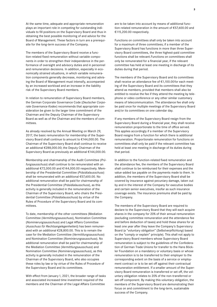At the same time, adequate and appropriate remuneration plays an important role in competing for outstanding individuals to fill positions on the Supervisory Board and thus in obtaining the best possible monitoring of and advice for the Board of Management. These factors in turn are a prerequisite for the long-term success of the Company.

The members of the Supervisory Board receive a function-related fixed remuneration without variable components in order to strengthen their independence in the performance of oversight and advisory duties and in personnel and remuneration decisions. In addition, especially in economically strained situations, in which variable remuneration components generally decrease, monitoring and advising the Board of Management must intensify, accompanied by an increased workload and an increase in the liability risk of the Supervisory Board members.

In relation to remuneration of Supervisory Board members, the German Corporate Governance Code (*Deutscher Corporate Governance Kodex*) recommends that appropriate consideration be given to the larger time commitment of the Chairman and the Deputy Chairman of the Supervisory Board as well as of the Chairman and the members of committees.

As already resolved by the Annual Meeting on March 29, 2017, the basic remuneration for membership of the Supervisory Board shall continue to amount to €144,000.00. The Chairman of the Supervisory Board shall continue to receive an additional €288,000.00; the Deputy Chairman of the Supervisory Board as previously an additional €144,000.00.

Membership and chairmanship of the Audit Committee (*Prüfungsausschuss*) shall continue to be remunerated with an additional €72,000.00 and €144,000.00 respectively. Membership of the Presidential Committee (*Präsidialausschuss*) shall be remunerated with an additional €57,600.00. No additional remuneration shall be paid for chairmanship of the Presidential Committee (*Präsidialausschuss*), as this activity is generally included in the remuneration of the Chairman of the Supervisory Board, who chairs the Presidential Committee (*Präsidialausschuss*) by virtue of the Rules of Procedure of the Supervisory Board and its committees.

To date, membership of the other committees (Mediation Committee (*Vermittlungsausschuss*), Nomination Committee (*Nominierungsausschuss*) and Legal Affairs Committee (*Ausschuss für Rechtsangelegenheiten*)) has been remunerated with an additional €28,800.00. This is to remain the case for the Mediation Committee (*Vermittlungsausschuss*) and Nomination Committee (*Nominierungsausschuss*). No additional remuneration shall be paid for chairmanship of the Mediation Committee (*Vermittlungsausschuss*) and Nomination Committee (*Nominierungsausschuss*), as this activity is generally included in the remuneration of the Chairman of the Supervisory Board, who also occupies these roles by law or by virtue of the Rules of Procedure of the Supervisory Board and its committees.

With effect from January 1, 2021, the broader range of tasks and associated increased time investment required of the members and the Chairman of the Legal Affairs Committee

are to be taken into account by means of additional function-related remuneration in the amount of €57,600.00 and €115,200.00 respectively.

Functions on committees shall only be taken into account for a maximum of three committees; if a member of the Supervisory Board has functions in more than three Supervisory Board committees, the three highest-paid committee functions shall be relevant.Functions on committees shall only be remunerated for a financial year, if the relevant committee has held at least one meeting in discharge of its duties during that period.

The members of the Supervisory Board and its committees shall receive an attendance fee of €1,100.00 for each meeting of the Supervisory Board and its committees that they attend as members, provided that members shall also be entitled to receive the fee if they attend the meeting by telephone or video conference or any other similar customary means of telecommunication. The attendance fee shall only be paid once for multiple meetings of the Supervisory Board and/or its committees on one calendar day.

If any members of the Supervisory Board resign from the Supervisory Board during a financial year, they shall receive remuneration proportionate to the time of office served. This applies accordingly if a member of the Supervisory Board resigns from a function for which there is additional remuneration. Proportionate remuneration for functions on committees shall only be paid if the relevant committee has held at least one meeting in discharge of its duties during that period.

In addition to the function-related fixed remuneration and the attendance fee, the members of the Supervisory Board shall continue to be reimbursed for their expenses and the value-added tax payable on the payments made to them. In addition, the members of the Supervisory Board shall be covered by insurance against pecuniary damage, taken out by and in the interest of the Company for executive bodies and certain senior executives, insofar as such insurance coverage exists. The insurance premiums shall be paid by the Company.

The members of the Supervisory Board are required to declare to the Supervisory Board that they will each acquire shares in the company for 20% of their annual remuneration (excluding committee remuneration and the attendance fee and before deduction of taxes) and hold these shares for at least one year after they leave the Company's Supervisory Board (a "voluntary obligation" (*Selbstverpflichtung*) based on the "comply or explain" principle). This shall not apply to Supervisory Board members whose Supervisory Board remuneration is subject to the guidelines of the Confederation of German Trade Unions for transfer to the Hans Böckler Foundation on a mandatory or voluntary basis or whose remuneration is to be transferred to their employer to the corresponding extent on the basis of a service or employment contract or is to be set off against their contractual remuneration entitlement. If a smaller amount of the Supervisory Board remuneration is transferred or set off, the voluntary obligation relates to 20% of the non-transferred or set-off component. By making this voluntary obligation, the members of the Supervisory Board are demonstrating their focus on and commitment to the long-term, sustainable success of the Company.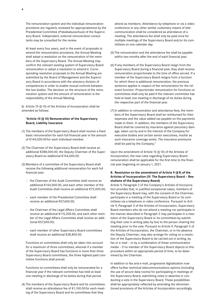The remuneration system and the individual remuneration provisions are regularly reviewed for appropriateness by the Presidential Committee (*Präsidialausschuss*) of the Supervisory Board. Independent, external remuneration consultants may be consulted for the review.

At least every four years, and in the event of proposals to amend the remuneration provisions, the Annual Meeting shall adopt a resolution on the remuneration of the members of the Supervisory Board. The Annual Meeting may confirm the relevant existing system of Supervisory Board remuneration or adopt a resolution to amend it. Corresponding resolution proposals to the Annual Meeting are submitted by the Board of Management and the Supervisory Board in accordance with the statutory division of competences in order to enable mutual controls between the two bodies. The decision on the structure of the remuneration system and the amount of remuneration is the responsibility of the Annual Meeting.

b) Article 10 (§ 10) of the Articles of Incorporation shall be amended as follows:

# **"Article10 (§10) Remuneration of the Supervisory Board, Liability Insurance**

- (1) The members of the Supervisory Board shall receive a fixed basic remuneration for each full financial year in the amount of €144,000.00for each individual member.
- (2) The Chairman of the Supervisory Board shall receive an additional €288,000.00; the Deputy Chairman of the Supervisory Board an additional €144,000.00.
- (3) Members of a committee of the Supervisory Board shall receive the following additional remuneration for each full financial year:
	- the Chairman of the Audit Committee shall receive an additional €144,000.00, and each other member of the Audit Committee shall receive an additional €72,000.00;
	- each member of the Presidential Committee shall receive an additional €57,600.00;
	- the Chairman of the Legal Affairs Committee shall receive an additional €115,200.00, and each other member of the Legal Affairs Committee shall receive an additional €57,600.00;
	- each member of other Supervisory Board committees shall receive an additional €28,800.00.

Functions on committees shall only be taken into account for a maximum of three committees; whereat if a member of the Supervisory Board has functions in more than three Supervisory Board committees, the three highest-paid committee functions shall prevail.

Functions on committees shall only be remunerated for a financial year if the relevant committee has held at least one meeting in discharge of its duties during that period.

(4) The members of the Supervisory Board and its committees shall receive an attendance fee of €1,100.00 for each meeting of the Supervisory Board and its committees that they

attend as members. Attendance by telephone or via a video conference or any other similar customary means of telecommunication shall be considered as attendance of a meeting. The attendance fee shall only be paid once for multiple meetings of the Supervisory Board and/or its committees on one calendar day.

- (5) The remuneration and the attendance fee shall be payable within two months after the end of each financial year.
- (6) If any members of the Supervisory Board resign from the Supervisory Board during a financial year, they shall receive remuneration proportionate to the time of office served. If a member of the Supervisory Board resigns from a function for which there is additional remuneration, the previous sentence applies in respect of the remuneration for the relevant function. Proportionate remuneration for functions on committees shall only be paid if the relevant committee has held at least one meeting in discharge of its duties during the respective part of the financial year.
- (7) In addition to remuneration and attendance fees, the members of the Supervisory Board shall be reimbursed for their expenses and the value-added tax payable on the payments made to them. In addition, the members of the Supervisory Board shall be covered by insurance against pecuniary damage, taken out by and in the interest of the Company for executive bodies and certain senior executives, insofar as such insurance coverage exists. The insurance premiums shall be paid by the Company."

Upon the amendment of Article10 (§10) of the Articles of Incorporation, the new rules regarding Supervisory Board remuneration shall be applicable for the first time to the financial year beginning on January1, 2021.

# **8. Resolution on the amendment of Article 9 (§9) of the Articles of Incorporation (IV. The Supervisory Board – Resolutions of the Supervisory Board)**

Article 9, Paragraph 2 of the Company's Articles of Incorporation provides that, in justified exceptional cases, members of the Supervisory Board may, with the consent of the Chairman, participate in a meeting of the Supervisory Board or its committees via a telephone or video conference. Pursuant to Article 9, Paragraph 3 of the Articles of Incorporation, Supervisory Board members who do not attend a meeting nor participate in the manner described in Paragraph 2 may participate in a resolution of the Supervisory Board or its committees by submitting their vote in writing (also by fax) to the person chairing the meeting prior to the vote. Pursuant to Article 9, Paragraph 5 of the Articles of Incorporation, the Chairman, or in his absence the Deputy Chairman, may also arrange for voting on a resolution of the Supervisory Board to be carried out in writing, by fax or e-mail – or by a combination of these communication media – if no member of the Supervisory Board objects to this procedure within an appropriate period of time, to be determined by the Chairman.

In addition to fax and e-mail, progressive digitalization now offers further technical telecommunications options (including the use of secure data rooms) for participating in meetings of the Supervisory Board, submitting votes in absentia or conducting a vote in the Supervisory Board. These possibilities shall be appropriately reflected by amending the aforementioned provisions of the Articles of Incorporation accordingly.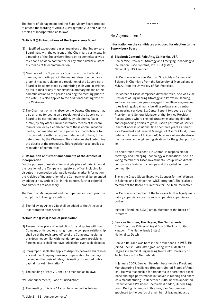The Board of Management and the Supervisory Board propose to amend the wording of Article 9, Paragraphs 2, 3 and 5 of the Articles of Incorporation as follows:

#### **"Article 9 (§9) Resolutions of the Supervisory Board**

- (2) In justified exceptional cases, members of the Supervisory Board may, with the consent of the Chairman, participate in a meeting of the Supervisory Board or its committees via a telephone or video conference or any other similar customary means of telecommunication.
- (3) Members of the Supervisory Board who do not attend a meeting nor participate in the manner described in paragraph 2 may participate in a resolution of the Supervisory Board or its committees by submitting their vote in writing, by fax, e-mail or any other similar customary means of telecommunication to the person chairing the meeting prior to the vote. This also applies to the additional casting vote of the Chairman.
- (5) The Chairman, or in his absence the Deputy Chairman, may also arrange for voting on a resolution of the Supervisory Board to be carried out in writing, by telephone, fax or e-mail, by any other similar customary means of telecommunication, or by a combination of these communication media, if no member of the Supervisory Board objects to this procedure within an appropriate period of time, to be determined by the Chairman. The chairman shall determine the details of the procedure. This regulation also applies to resolution of committees."

#### **9. Resolution on further amendments of the Articles of Incorporation**

For the purpose of establishing a single place of jurisdiction at the location of the Company's registered office, including for disputes in connection with public capital market information, the Articles of Incorporation of the Company shall be amended by adding a new Article 21a. In this context, further editorial amendments are necessary.

The Board of Management and the Supervisory Board propose to adopt the following resolution:

a) The following Article 21a shall be added to the Articles of Incorporation after Article 21:

#### **"Article 21a (§21a) Place of jurisdiction**

- (1) The exclusive place of jurisdiction for all disputes with the Company or its bodies arising from the company relationship shall be at the registered office of the Company, insofar as this does not conflict with mandatory statutory provisions. Foreign courts shall not have jurisdiction over such disputes.
- (2) Paragraph 1 shall also apply to disputes between shareholders and the Company seeking compensation for damage caused on the basis of false, misleading or omitted public capital market information."
- b) The heading of Part VII. shall be amended as follows:
- "VII. Announcements, Place of Jurisdiction"
- c) The heading of Article 21 shall be amended as follows:

# Re Agenda Item 6:

# **Information on the candidates proposed for election to the Supervisory Board**

\*\*\*\*\*

**a) Elizabeth Centoni, Palo Alto, California, USA** Senior Vice President, Strategy and Emerging Technology & Incubation Cisco Systems, Inc., USA (listed) Nationality: US American

Liz Centoni was born in Mumbai. She holds a Bachelor of Science in Chemistry from the University of Mumbai and a M.B.A. from the University of San Francisco.

Her career at Cisco comprised different roles. She was Vice President of Engineering Strategy and Portfolio Planning, and was for over ten years engaged in multiple engineering roles leading global teams building software and central engineering services. Liz Centoni spent two years as Vice President and General Manager of the Service Provider Access Group where she led strategy, marketing direction and engineering efforts to grow Cisco's portfolio of Carrier Ethernet Access solutions. She spent five years as Senior Vice President and General Manager of Cisco's Cloud, Compute, and Internet of Things (IoT) business where she drove the business and engineering strategy for the global portfolio.

As Senior Vice President, Liz Centoni is responsible for "Strategy and Emerging Technology & Incubation". She is a voting member for Cisco Investments Group which directs company's efforts with startups and the global venture community.

She is the Cisco Global Executive Sponsor for the" Women in Science and Engineering (WISE) program". She is also a member of the Board of Directors for The Tech Interactive.

Liz Centoni is a member of the following further legally mandatory supervisory boards and comparable supervisory bodies:

Ingersoll Rand Inc, USA (listed), Member of the Board of Directors

# **b) Ben van Beurden, The Hague, The Netherlands**

Chief Executive Officer of Royal Dutch Shell plc, United Kingdom, The Netherlands (listed) Nationality: Dutch

Ben van Beurden was born in the Netherlands in1958. He joined Shell in 1983, after graduating with a Master's Degree in Chemical Engineering from Delft University of Technology in the Netherlands.

In January 2005, Ben van Beurden became Vice President Manufacturing Excellence (Houston, United States of America). He was responsible for standards in operational excellence and high-performance initiatives in refining and chemicals manufacturing. In December 2006, he was appointed Executive Vice President Chemicals (London, United Kingdom). During his tenure in this role, Van Beurden was appointed to the boards of a number of leading industry

"Article 21 (§21) Announcements"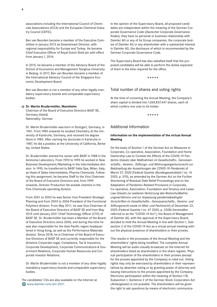associations including the International Council of Chemicals Associations (ICCA) and the European Chemical Industry Council (CEFIC).

Ben van Beurden became a member of the Executive Committee in January 2013 as Downstream Director, with regional responsibility for Europe and Turkey. He became Chief Executive Officer of Royal Dutch Shell plc with effect from January 1, 2014.

In 2015, he became a member of the Advisory Board of the School of Economics and Management Tsinghua University in Beijing. In 2017, Ben van Beurden became a member of the International Advisory Council of the Singapore Economic Development Board.

Ben van Beurden is not a member of any other legally mandatory supervisory boards and comparable supervisory bodies.

#### **c) Dr. Martin Brudermüller, Mannheim**

Chairman of the Board of Executive Directors BASF SE, Germany (listed) Nationality: German

Dr. Martin Brudermüller was born in Stuttgart, Germany, in 1961. From1980 onwards he studied Chemistry at the University of Karlsruhe, Germany, and received his degree there in 1985. After earning his doctorate in Karlsruhe in 1987, he did a postdoc at the University of California, Berkeley, United States.

Dr. Brudermüller started his career with BASF in 1988 in the Ammonia Laboratory. From1993 to1995 he worked in New Business Development/Marketing in the Intermediates division. In1995, he transferred to BASF Italia Spa, Milan, Italy, as Head of Sales Intermediates, Pharma Chemicals. Following this assignment, he became Staff to the Vice Chairman of the Board of Executive Directors and, from1999 onwards, Director Production fat-soluble vitamins in the Fine Chemicals operating division.

From 2001 to 2003 he was Senior Vice President Strategic Planning and from 2003 to 2006 President of the Functional Polymers division. From May 2011, he was Vice Chairman of the Board of Executive Directors of BASF SE and from May 2015 until January 2021 Chief Technology Officer (CTO) of BASF SE. Dr. Brudermüller has been a Member of the Board of Executive Directors since 2006, and during this time he was also responsible for the Asia Pacific region headquartered in Hong Kong, as well as the Performance Materials division. Since 2018, he is Chairman of the Board of Executive Directors of BASF SE and currently responsible for the divisions Corporate Legal, Compliance, Tax & Insurance, Corporate Development, Corporate Communications & Government Relations, Corporate Human Resources and Corporate Investor Relations.

Dr. Martin Brudermüller is not a member of any other legally mandatory supervisory boards and comparable supervisory bodies.

The candidates' CVs are also available on the Internet at www.daimler.com/am-2021.

In the opinion of the Supervisory Board, all proposed candidates are independent within the meaning of the German Corporate Governance Code (*Deutscher Corporate Governance Kodex*); they have no personal or business relationship with Daimler AG or any of its Group companies, the corporate bodies of Daimler AG or any shareholder with a substantial interest in Daimler AG, the disclosure of which is recommended by the German Corporate Governance Code.

The Supervisory Board has also satisfied itself that the proposed candidates will be able to perform the duties expected of them in the time required for the office.

\*\*\*\*\*

# Total number of shares and voting rights

At the time of convening the Annual Meeting, the Company's share capital is divided into 1,069,837,447 shares, each of which confers one vote to its holder.

\*\*\*\*\*

# Additional Information

# **Information on the implementation of the virtual Annual Meeting**

On the basis of Section 1 of the German Act on Measures in Corporate, Co-operative, Association, Foundation and Home Ownership Law to Combat the Effects of the COVID-19 Pandemic (*Gesetz über Maßnahmen im Gesellschafts-, Genossenschafts-, Vereins-, Stiftungs- und Wohnungseigentumsrecht zur Bekämpfung der Auswirkungen der COVID-19-Pandemie*) of March 27, 2020 (Federal Gazette (*Bundesgesetzblatt*) I no.14 2020, p. 570), as amended by the German Act on the Further Shortening of Residual Debt Relief Proceedings and on the Adaptation of Pandemic-Related Provisions in Corporate, Co-operative, Association, Foundation and Tenancy and Lease Law (*Gesetz zur weiteren Verkürzung des Restschuldbefreiungsverfahrens und zur Anpassung pandemiebedingter Vorschriften im Gesellschafts-, Genossenschafts-, Vereins- und Stiftungsrecht sowie im Miet- und Pachtrecht*) of December 22, 2020 (Federal Gazette I no. 67 2020, p. 3328) (hereinafter referred to as the "COVID-19 Act"), the Board of Management of Daimler AG, with the approval of the Supervisory Board, decided to hold the Annual Meeting in line with Section 1, Subsection 2 of the COVID-19 Act as a virtual annual meeting without the physical presence of shareholders or their proxies.

This results in the processes of the Annual Meeting and the shareholders' rights being modified. The complete Annual Meeting will be audio-visually broadcast on the Internet for shareholders listed as shareholders in the share register. Physical participation of the shareholders or their proxies (except for the proxies appointed by the Company) is ruled out. Voting rights may only be exercised by shareholders or their representatives by absentee voting or by granting power of attorney and issuing instructions to the proxies appointed by the Company. Electronic participation within the meaning of Section 118, Subsection 1, Sentence 2 of the German Stock Corporation Act (*Aktiengesetz*) is not possible. The shareholders will be given the right to ask questions by means of electronic communica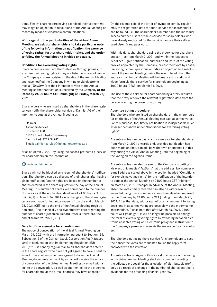tions. Finally, shareholders having exercised their voting right may lodge an objection to resolutions of the Annual Meeting on record by means of electronic communications.

**With regard to the particularities of the virtual Annual Meeting, we ask our shareholders to take particular note of the following information on notification, the exercise of voting rights, further shareholder rights, and the option to follow the Annual Meeting in video and audio.**

#### **Conditions for exercising voting rights**

Shareholders are entitled, themselves or through proxies, to exercise their voting rights if they are listed as shareholders in the Company's share register on the day of the Annual Meeting and have notified the Company in writing or via electronic media ("*Textform*") of their intention to vote at the Annual Meeting so that notification is received by the Company **at the latest by 24:00 hours CET (midnight) on Friday, March 26, 2021.**

Shareholders who are listed as shareholders in the share register can notify the shareholder service of Daimler AG of their intention to vote at the Annual Meeting at:

Daimler Aktionärsservice Postfach 1460 61365 Friedrichsdorf, Germany Fax: +49 69 2222 34282 Email: daimler.service@linkmarketservices.de

or as of March 2, 2021 by using the access-protected e-service for shareholders on the Internet at

#### **W** register.daimler.com

Shares will not be blocked as a result of shareholders' notification. Shareholders can also dispose of their shares after having given notification. Voting rights are based on the number of shares entered in the share register on the day of the Annual Meeting. This number of shares will correspond to the number of shares as at the notification deadline of 24:00 hours CET (midnight) on March 26, 2021 since changes to the share register are not made for technical reasons from the end of March 26, 2021 (CET) up to the end of the Annual Meeting (registration stop). The technically decisive effective date regarding the number of shares (Technical Record Date) is, therefore, the end of March 26, 2021 (CET).

#### **Details of the e-service for shareholders**

The notice of convocation of the virtual Annual Meeting on March 31, 2021 with the information pursuant to Section 125, Subsection 5 of the German Stock Corporation Act (*Aktiengesetz*) in conjunction with Implementing Regulation (EU) 2018/1212 is sent by regular mail to all shareholders entered in the share register who have not yet agreed to have it sent by e-mail. Shareholders who have agreed to have the Annual Meeting documentation sent by e-mail will receive the notice of convocation of the virtual Annual Meeting by e-mail with a link to the convocation, as well as another link to the e-service for shareholders, at the e-mail address they have specified.

On the reverse side of the letter of invitation sent by regular mail, the registration data for our e-service for shareholders can be found, i.e., the shareholder's number and the individual access number. Users of the e-service for shareholders who have already registered for the service can use their self-issued User ID and password.

With this data, shareholders using the e-service for shareholders can – as from March 2, 2021 and within the respective deadlines – give notification, authorize and instruct the voting proxies appointed by the Company, or cast their vote by absentee voting, submit questions or lodge an objection to a resolution of the Annual Meeting during the event. In addition, the entire virtual Annual Meeting will be broadcast in audio and video form via the e-service for shareholders beginning at 10:00 hours (CEST) on March 31, 2021.

The use of the e-service for shareholders by a proxy requires that the proxy receives the relevant registration data from the person granting the power of attorney.

#### **Absentee voting procedure**

Shareholders who are listed as shareholders in the share register on the day of the Annual Meeting can cast absentee votes. For this purpose, too, timely notification is indispensable (such as described above under "Conditions for exercising voting rights").

Absentee votes can be cast via the e-service for shareholders from March 2, 2021 onwards and, provided notification has been made on time, can still be withdrawn or amended in this way during the virtual Annual Meeting until the beginning of the voting on the Agenda Items.

Absentee votes can also be sent to the Company in writing or via electronic media ("*Textform*") at the address, fax number or e-mail address stated above in the section headed "Conditions for exercising voting rights" for the notification of the intention to vote at the Annual Meeting by 24:00 hours CET (midnight) on March 26, 2021 (receipt). In advance of the Annual Meeting, absentee votes timely received can also be withdrawn or amended using these communication channels when received by the Company by 24:00 hours CET (midnight) on March 26, 2021. After that date, withdrawal of or an amendment to voting decisions in absentee voting are possible via the e-service for shareholders. Please note that after March 26, 2021, 24:00 hours CET (midnight), it will no longer be possible to change the form of exercising voting rights by switching between electronic absentee voting and electronic proxy and instruction to the Company's proxy, not even via the e-service for shareholders.

Shareholders not using the e-service for shareholders to cast their absentee votes are requested to use the reply form enclosed with the invitation.

Absentee votes on Agenda Item 2 cast in advance of the voting in the virtual Annual Meeting shall also count in the voting on the adjusted proposal for the allocation of distributable profit only as a result of a change in the number of shares entitled to dividends for the preceding financial year 2020.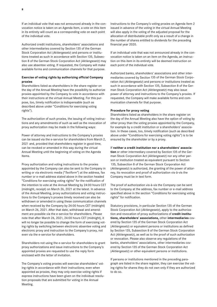If an individual vote that was not announced already in the convocation notice is taken on an Agenda Item, a vote on this item in its entirety will count as a corresponding vote on each point of the individual vote.

Authorized credit institutions, shareholders' associations and other intermediaries covered by Section 135 of the German Stock Corporation Act (*Aktiengesetz*) and persons or institutions treated as such in accordance with Section 135, Subsection 8 of the German Stock Corporation Act (*Aktiengesetz*) may also use absentee voting. If requested, the Company will make available forms and communication channels for that purpose.

# **Exercise of voting rights by authorizing official Company proxies**

Shareholders listed as shareholders in the share register on the day of the Annual Meeting have the possibility to authorize proxies appointed by the Company to vote in accordance with their instructions at the virtual Annual Meeting. For this purpose, too, timely notification is indispensable (such as described above under "Conditions for exercising voting rights").

The authorization of such proxies, the issuing of voting instructions and any amendments of such as well as the revocation of proxy authorization may be made in the following ways:

Power of attorney and instructions to the Company's proxies can be issued via the e-service for shareholders from March 2, 2021 and, provided that shareholders register in good time, can be revoked or amended in this way during the virtual Annual Meeting until the beginning of voting on the Agenda Items.

Proxy authorization and voting instructions to the proxies appointed by the Company can also be sent to the Company in writing or via electronic media ("*Textform*") at the address, fax number or e-mail address stated above in the section headed "Conditions for exercising voting rights" for the notification of the intention to vote at the Annual Meeting by 24:00 hours CET (midnight, receipt) on March 26, 2021 at the latest. In advance of the Annual Meeting, proxy authorizations and voting instructions to the Company's proxies timely received can also be withdrawn or amended in using these communication channels when received by the Company by 24:00 hours CET (midnight) on March 26, 2021. After that date, withdrawal and amendment are possible via the e-service for shareholders. Please note that after March 26, 2021, 24:00 hours CET (midnight), it will no longer be possible to change the form of exercising voting rights by switching between electronic absentee voting and electronic proxy and instruction to the Company's proxy, not even via the e-service for shareholders.

Shareholders not using the e-service for shareholders to grant proxy authorizations and issue instructions to the Company's appointed proxies are requested to use the reply form enclosed with the letter of invitation.

The Company's voting proxies will exercise shareholders' voting rights in accordance with their instructions; even when appointed as proxies, they may only exercise voting rights if express instructions have been given on the individual resolution proposals that are submitted for voting in the Annual Meeting.

Instructions to the Company's voting proxies on Agenda Item 2 issued in advance of the voting in the virtual Annual Meeting will also apply in the voting of the adjusted proposal for the allocation of distributable profit only as a result of a change in the number of shares entitled to dividends for the preceding financial year 2020.

If an individual vote that was not announced already in the convocation notice is taken on an item on the Agenda, an instruction on this item in its entirety will be deemed instruction on each point of the individual vote.

Authorized banks, shareholders' associations and other intermediaries covered by Section 135 of the German Stock Corporation Act (*Aktiengesetz*) and persons or institutions treated as such in accordance with Section 135, Subsection 8 of the German Stock Corporation Act (*Aktiengesetz*) may also issue power of attorney and instructions to the Company's proxies. If requested, the Company will make available forms and communication channels for that purpose.

#### **Procedure for proxy voting**

Shareholders listed as shareholders in the share register on the day of the Annual Meeting also have the option of voting by other proxy than the voting proxies appointed by the Company, for example by a credit institution or a shareholders' association. In these cases, too, timely notification (such as described above under "Conditions for exercising voting rights") is to be ensured by the shareholder or by a proxy.

#### If **neither a credit institution nor a shareholders' associa-**

**tion** or other intermediary covered by Section 135 of the German Stock Corporation Act (*Aktiengesetz*) nor any other person or institution treated as equivalent pursuant to Section 135, Subsection 8 of the German Stock Corporation Act (*Aktiengesetz*) is authorized, the granting of the power of attorney, its revocation and proof of authorization vis-à-vis the Company must be in text form.

The proof of authorization vis-à-vis the Company can be sent to the Company at the address, fax number or e-mail address specified above in the section "Conditions for exercising voting rights" for notification.

Statutory provisions, in particular Section 135 of the German Stock Corporation Act (*Aktiengesetz*), apply to the authorization and revocation of proxy authorizations of **credit institutions, shareholders' associations,** other **intermediaries** covered by Section 135 of the German Stock Corporation Act (*Aktiengesetz*) or equivalent persons or institutions as defined by Section 135, Subsection 8 of the German Stock Corporation Act (*Aktiengesetz*), as well as to the proof of such authorization or revocation. Please also observe any regulations of the banks, shareholders' associations, other intermediaries covered by Section 135 of the German Stock Corporation Act (*Aktiengesetz*) or other equivalent persons or institutions.

If persons or institutions mentioned in the preceding paragraph are listed in the share register, they can exercise the voting rights for shares they do not own only if they are authorized to do so.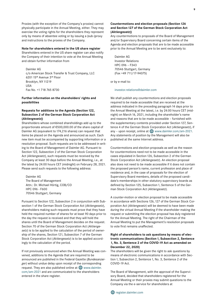Proxies (with the exception of the Company's proxies) cannot physically participate in the Annual Meeting, either. They may exercise the voting rights for the shareholders they represent only by means of absentee voting or by issuing a (sub-)proxy and instructions to the proxies of the Company.

#### **Note for shareholders entered in the US share register**

Shareholders entered in the US share register can also notify the Company of their intention to vote at the Annual Meeting and obtain further information from

Daimler AG c/o American Stock Transfer & Trust Company, LLC 620115th Avenue 3rd Floor Brooklyn, NY11219 USA Fax No. +1 718 765 8730

# **Further information on the shareholders' rights and possibilities**

# **Requests for additions to the Agenda (Section122, Subsection 2 of the German Stock Corporation Act (***Aktiengesetz***))**

Shareholders whose combined shareholdings add up to the proportionate amount of €500,000.00 of the share capital of Daimler AG (equivalent to174,216 shares) can request that items be placed on the Agenda and announced as such. Each new item must be accompanied by supporting information or a resolution proposal. Such requests are to be addressed in writing to the Board of Management of Daimler AG. Pursuant to Section 122, Subsection 2 of the German Stock Corporation Act (*Aktiengesetz*), such requests must be received by the Company at least 30 days before the Annual Meeting, i.e., at the latest by 24:00 hours CET (midnight) on February 28, 2021. Please send such requests to the following address:

Daimler AG The Board of Management Attn.: Dr. Michael Hörtig, COB/CO HPC 096 - F600 70546 Stuttgart, Germany

Pursuant to Section 122, Subsection 2 in conjunction with Subsection1 of the German Stock Corporation Act (*Aktiengesetz*), shareholders making such requests must prove that they have held the required number of shares for at least 90 days prior to the day the request is received and that they will hold the shares until the Board of Management decides on the request. Section 70 of the German Stock Corporation Act (*Aktiengesetz*) is to be applied to the calculation of the period of ownership of the shares, Section 121, Subsection 7 of the German Stock Corporation Act (*Aktiengesetz*) is to be applied accordingly to the calculation of the period.

If not previously announced when the Annual Meeting was convened, additions to the Agenda that are required to be announced are published in the Federal Gazette (*Bundesanzeiger*) without undue delay upon receipt of the corresponding request. They are also published online at  $\bigoplus$  www.daimler. com/am-2021 and are communicated to the shareholders entered in the share register.

# **Countermotions and election proposals (Section126 and Section127 of the German Stock Corporation Act (***Aktiengesetz***))**

Any countermotions to proposals of the Board of Management and/or Supervisory Board concerning certain items of the Agenda and election proposals that are to be made accessible prior to the Annual Meeting are to be sent exclusively to:

Daimler AG Investor Relations HPC 096 – F343 70546 Stuttgart, Germany (Fax +49 711/17-94075)

or by e-mail to:

#### investor.relations@daimler.com

We shall publish any countermotions and election proposals required to be made accessible that are received at the address indicated in the preceding paragraph14 days prior to the Annual Meeting at the latest, i.e. by 24:00 hours CET (midnight) on March16, 2021, including the shareholder's name and reasons that are to be made accessible – furnished with the supplementary contents provided under Section 127, Sentence 4 of the German Stock Corporation Act (*Aktiengesetz*), if any - upon receipt, online at  $\bigoplus$  www.daimler.com/am-2021. Any statements of position by the Management will also be published at the same Internet address.

Countermotions and election proposals as well as the reason for countermotions need not to be made accessible in the cases stipulated in Section 126, Subsection 2 of the German Stock Corporation Act (*Aktiengesetz*). An election proposal also does not need to be made accessible if it does not contain the proposed person's name, current profession and place of residence and, in the case of proposals for the election of Supervisory Board members, details of the proposed candidate's memberships in other statutory supervisory boards as defined by Section 125, Subsection 1, Sentence 5 of the German Stock Corporation Act (*Aktiengesetz*).

A counter-motion or election proposal to be made accessible in accordance with Sections 126, 127 of the German Stock Corporation Act (*Aktiengesetz*) will be deemed to have been made during the virtual Annual Meeting if the shareholder making the request or submitting the election proposal has duly registered for the Annual Meeting. The right of the Chairman of the Annual Meeting to put the Management's resolution proposals to vote first remains unaffected.

# **Right of shareholders to ask questions by means of electronic communications (Section1, Subsection 2, Sentence 1, No. 3, Sentence 2 of the COVID-19 Act as amended on December 22, 2020)**

The shareholders will be given the right to ask questions by means of electronic communications in accordance with Section 1, Subsection 2, Sentence 1, No. 3, Sentence 2 of the COVID-19 Act.

The Board of Management, with the approval of the Supervisory Board, decided that shareholders registered for the Annual Meeting or their proxies may submit questions to the Company via the e-service for shareholders at

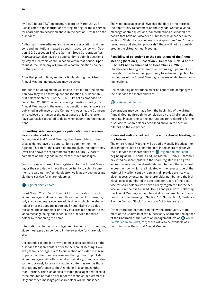by 24:00 hours CEST (midnight, receipt) on March 29, 2021. Please refer to the instructions for registering for the e-service for shareholders described above in the section "Details on the e-service".

Authorized intermediaries, shareholders' association and persons and institutions treated as such in accordance with Section 135, Subsection 8 of the German Stock Corporation Act (*Aktiengesetz*) also have the opportunity to submit questions by way of electronic communication within that period. Upon request, the Company will provide a communication channel for that purpose.

After that point in time, and in particular during the virtual Annual Meeting, no questions may be asked.

The Board of Management will decide in its dutiful free discretion how they will answer questions (Section 1, Subsection 2, first half of Sentence 2 of the COVID-19 Act as amended on December 22, 2020). When answering questions during the Annual Meeting or in the event that questions and answers are published in advance on the Company's website, the Company will disclose the names of the questioners only if the latter have expressly requested to do so when submitting their questions.

# **Submitting video messages for publication via the e-service for shareholders**

During the virtual Annual Meeting, the shareholders or their proxies do not have the opportunity to comment on the Agenda. Therefore, the shareholders are given the opportunity (over and above the requirements of the COVID-19-Act) to comment on the Agenda in the form of video messages.

For this reason, shareholders registered for the Annual Meeting or their proxies will have the opportunity to submit comments regarding the Agenda electronically as a video message via the e-service for shareholders at

#### **W** register.daimler.com

by 24 March 2021, 24:00 hours (CET). The duration of such video message shall not exceed three minutes. Furthermore, only such video messages are admissible in which the shareholder or proxy appears in person. By submitting the video message, the shareholder or proxy declares his consent to the video message being published in the e-service for shareholder by mentioning the name.

Information on technical and legal requirements for submitting video messages can be found in the e-service for shareholders.

It is intended to publish any video messages submitted on the e-service for shareholders prior to the Annual Meeting. However, there is no legal claim to publication of a video message. In particular, the Company reserves the right not to publish video messages with offensive, discriminatory, criminally relevant or obviously false or misleading content as well as those without any reference to the Agenda or in a language other than German. This also applies to video messages that exceed three minutes or that do not meet the technical requirements. Only one video message per shareholder will be published.

The video messages shall give shareholders or their proxies the opportunity to comment on the Agenda. Should a video message contain questions, countermotions or election proposals that have not also been submitted as described in the sections "Right of shareholders to ask questions" and "Countermotions and election proposals", these will not be considered in the virtual Annual Meeting.

# **Possibility of objections to the resolutions of the Annual Meeting (Section1, Subsection 2, Sentence1, No. 4 of the COVID-19 Act as amended on December 22, 2020)**

Shareholders having exercised their voting right personally or through proxies have the opportunity to lodge an objection to resolutions of the Annual Meeting by means of electronic communications.

Corresponding declarations must be sent to the company via the e-service for shareholders at

# **exampler** register.daimler.com

Declarations may be made from the beginning of the virtual Annual Meeting through its conclusion by the Chairman of the meeting. Please refer to the instructions for registering for the e-service for shareholders described above in the section "Details on the e-service".

# **Video and audio broadcast of the entire Annual Meeting on the Internet**

The entire Annual Meeting will be audio-visually broadcast for shareholders listed as shareholders in the share register via the e-service for shareholders at  $\bigoplus$  register.daimler.com beginning at 10:00 hours (CEST) on March 31, 2021. Shareholders listed as shareholders in the share register will be given access by entering the shareholder number and the individual access number, which are indicated on the reverse side of the letter of invitation sent by regular mail; proxies are likewise given access by entering the shareholder number and the individual access number of the shareholder. Users of the e-service for shareholders who have already registered for the service will use their self-issued User ID and password. Following the Annual Meeting on the Internet does not enable participation within the meaning of Section 118, Subsection 1, Sentence 2 of the German Stock Corporation Act (*Aktiengesetz*).

Other interested persons can follow the introductory statement of the Chairman of the Supervisory Board and the speech of the Chairman of the Board of Management live at  $\bigoplus$  www. daimler.com/am-2021, too; these will also be available as a recording after the virtual Annual Meeting.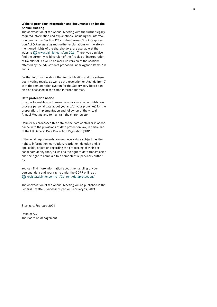#### **Website providing information and documentation for the Annual Meeting**

The convocation of the Annual Meeting with the further legally required information and explanations, including the informa tion pursuant to Section 124a of the German Stock Corporation Act (*Aktiengesetz*) and further explanations on the afore mentioned rights of the shareholders, are available at the website  $\bigoplus$  www.daimler.com/am-2021. There, you can also find the currently valid version of the Articles of Incorporation of Daimler AG as well as a mark-up version of the sections affected by the adjustments proposed under Agenda Items 7, 8 and 9.

Further information about the Annual Meeting and the subse quent voting results as well as the resolution on Agenda Item 7 with the remuneration system for the Supervisory Board can also be accessed at the same Internet address.

#### **Data protection notice**

In order to enable you to exercise your shareholder rights, we process personal data about you and/or your proxy(ies) for the preparation, implementation and follow-up of the virtual Annual Meeting and to maintain the share register.

Daimler AG processes this data as the data controller in accordance with the provisions of data protection law, in particular of the EU General Data Protection Regulation (GDPR).

If the legal requirements are met, every data subject has the right to information, correction, restriction, deletion and, if applicable, objection regarding the processing of their personal data at any time, as well as the right to data transmission and the right to complain to a competent supervisory authority.

You can find more information about the handling of your personal data and your rights under the GDPR online at  $\bigoplus$  register.daimler.com/en/Content/dataprotection/

The convocation of the Annual Meeting will be published in the Federal Gazette (*Bundesanzeiger*) on February19, 2021.

Stuttgart, February 2021

Daimler AG The Board of Management